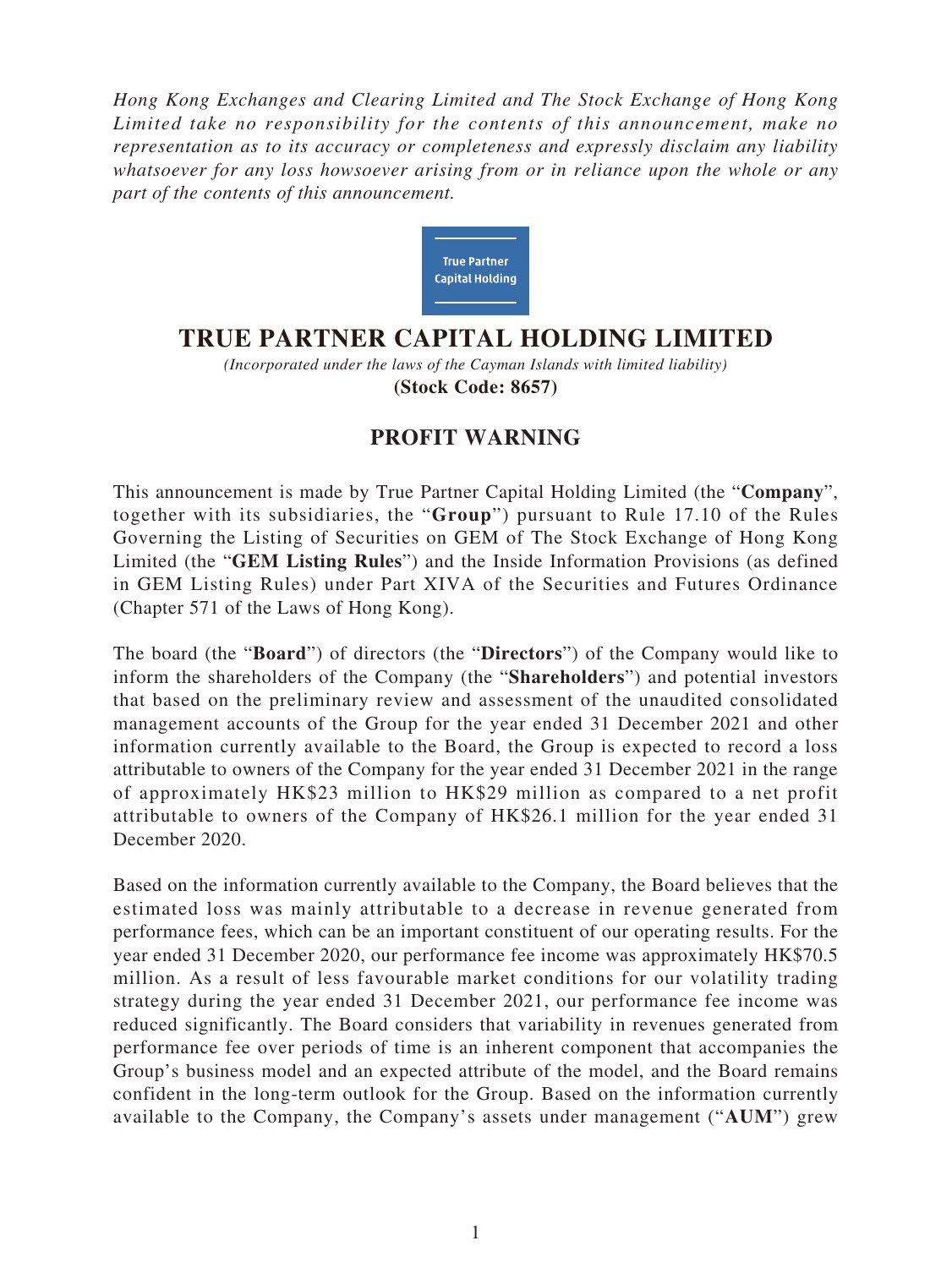*Hong Kong Exchanges and Clearing Limited and The Stock Exchange of Hong Kong Limited take no responsibility for the contents of this announcement, make no representation as to its accuracy or completeness and expressly disclaim any liability whatsoever for any loss howsoever arising from or in reliance upon the whole or any part of the contents of this announcement.*



## **TRUE PARTNER CAPITAL HOLDING LIMITED**

*(Incorporated under the laws of the Cayman Islands with limited liability)* **(Stock Code: 8657)**

## **PROFIT WARNING**

This announcement is made by True Partner Capital Holding Limited (the "**Company**", together with its subsidiaries, the "**Group**") pursuant to Rule 17.10 of the Rules Governing the Listing of Securities on GEM of The Stock Exchange of Hong Kong Limited (the "**GEM Listing Rules**") and the Inside Information Provisions (as defined in GEM Listing Rules) under Part XIVA of the Securities and Futures Ordinance (Chapter 571 of the Laws of Hong Kong).

The board (the "**Board**") of directors (the "**Directors**") of the Company would like to inform the shareholders of the Company (the "**Shareholders**") and potential investors that based on the preliminary review and assessment of the unaudited consolidated management accounts of the Group for the year ended 31 December 2021 and other information currently available to the Board, the Group is expected to record a loss attributable to owners of the Company for the year ended 31 December 2021 in the range of approximately HK\$23 million to HK\$29 million as compared to a net profit attributable to owners of the Company of HK\$26.1 million for the year ended 31 December 2020.

Based on the information currently available to the Company, the Board believes that the estimated loss was mainly attributable to a decrease in revenue generated from performance fees, which can be an important constituent of our operating results. For the year ended 31 December 2020, our performance fee income was approximately HK\$70.5 million. As a result of less favourable market conditions for our volatility trading strategy during the year ended 31 December 2021, our performance fee income was reduced significantly. The Board considers that variability in revenues generated from performance fee over periods of time is an inherent component that accompanies the Group's business model and an expected attribute of the model, and the Board remains confident in the long-term outlook for the Group. Based on the information currently available to the Company, the Company's assets under management ("**AUM**") grew